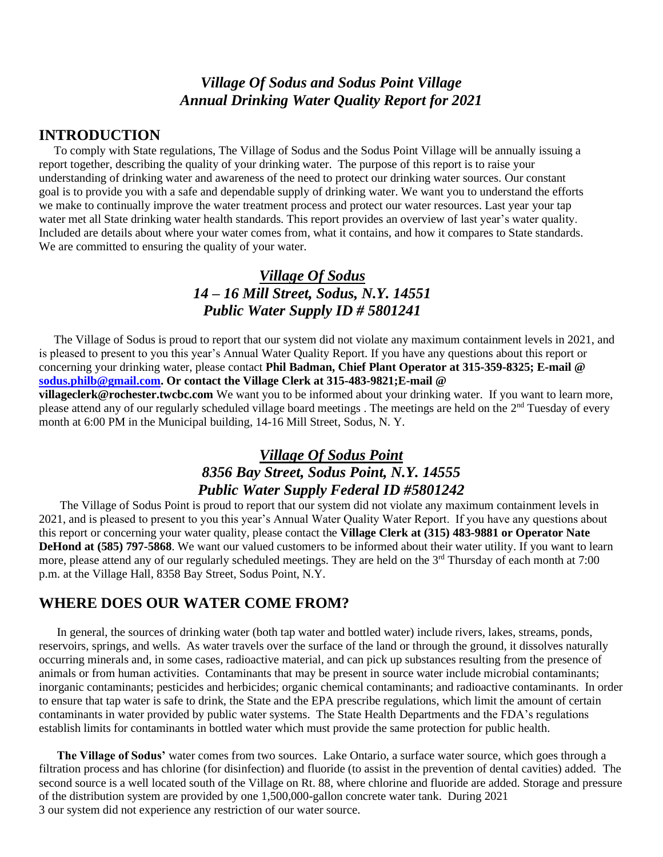#### *Village Of Sodus and Sodus Point Village Annual Drinking Water Quality Report for 2021*

#### **INTRODUCTION**

 To comply with State regulations, The Village of Sodus and the Sodus Point Village will be annually issuing a report together, describing the quality of your drinking water. The purpose of this report is to raise your understanding of drinking water and awareness of the need to protect our drinking water sources. Our constant goal is to provide you with a safe and dependable supply of drinking water. We want you to understand the efforts we make to continually improve the water treatment process and protect our water resources. Last year your tap water met all State drinking water health standards. This report provides an overview of last year's water quality. Included are details about where your water comes from, what it contains, and how it compares to State standards. We are committed to ensuring the quality of your water.

## *Village Of Sodus 14 – 16 Mill Street, Sodus, N.Y. 14551 Public Water Supply ID # 5801241*

 The Village of Sodus is proud to report that our system did not violate any maximum containment levels in 2021, and is pleased to present to you this year's Annual Water Quality Report. If you have any questions about this report or concerning your drinking water, please contact **Phil Badman, Chief Plant Operator at 315-359-8325; E-mail @ [sodus.philb@gmail.com.](mailto:sodus.philb@gmail.com) Or contact the Village Clerk at 315-483-9821;E-mail @** 

**villageclerk@rochester.twcbc.com** We want you to be informed about your drinking water. If you want to learn more, please attend any of our regularly scheduled village board meetings. The meetings are held on the 2<sup>nd</sup> Tuesday of every month at 6:00 PM in the Municipal building, 14-16 Mill Street, Sodus, N. Y.

#### *Village Of Sodus Point 8356 Bay Street, Sodus Point, N.Y. 14555 Public Water Supply Federal ID #5801242*

 The Village of Sodus Point is proud to report that our system did not violate any maximum containment levels in 2021, and is pleased to present to you this year's Annual Water Quality Water Report. If you have any questions about this report or concerning your water quality, please contact the **Village Clerk at (315) 483-9881 or Operator Nate DeHond at (585) 797-5868**. We want our valued customers to be informed about their water utility. If you want to learn more, please attend any of our regularly scheduled meetings. They are held on the 3<sup>rd</sup> Thursday of each month at 7:00 p.m. at the Village Hall, 8358 Bay Street, Sodus Point, N.Y.

## **WHERE DOES OUR WATER COME FROM?**

 In general, the sources of drinking water (both tap water and bottled water) include rivers, lakes, streams, ponds, reservoirs, springs, and wells. As water travels over the surface of the land or through the ground, it dissolves naturally occurring minerals and, in some cases, radioactive material, and can pick up substances resulting from the presence of animals or from human activities. Contaminants that may be present in source water include microbial contaminants; inorganic contaminants; pesticides and herbicides; organic chemical contaminants; and radioactive contaminants. In order to ensure that tap water is safe to drink, the State and the EPA prescribe regulations, which limit the amount of certain contaminants in water provided by public water systems. The State Health Departments and the FDA's regulations establish limits for contaminants in bottled water which must provide the same protection for public health.

 **The Village of Sodus'** water comes from two sources. Lake Ontario, a surface water source, which goes through a filtration process and has chlorine (for disinfection) and fluoride (to assist in the prevention of dental cavities) added. The second source is a well located south of the Village on Rt. 88, where chlorine and fluoride are added. Storage and pressure of the distribution system are provided by one 1,500,000-gallon concrete water tank. During 2021 3 our system did not experience any restriction of our water source.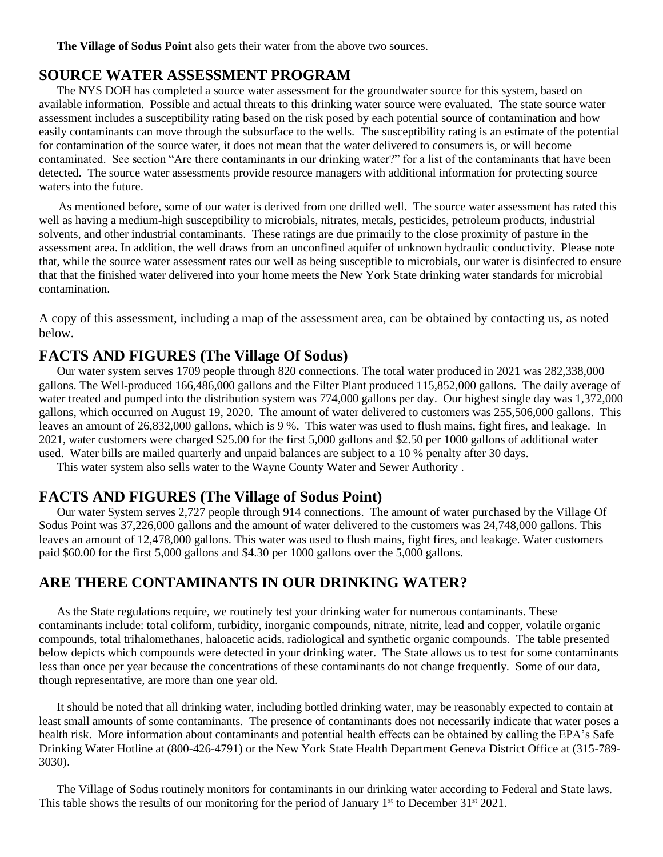**The Village of Sodus Point** also gets their water from the above two sources.

#### **SOURCE WATER ASSESSMENT PROGRAM**

 The NYS DOH has completed a source water assessment for the groundwater source for this system, based on available information. Possible and actual threats to this drinking water source were evaluated. The state source water assessment includes a susceptibility rating based on the risk posed by each potential source of contamination and how easily contaminants can move through the subsurface to the wells. The susceptibility rating is an estimate of the potential for contamination of the source water, it does not mean that the water delivered to consumers is, or will become contaminated. See section "Are there contaminants in our drinking water?" for a list of the contaminants that have been detected. The source water assessments provide resource managers with additional information for protecting source waters into the future.

 As mentioned before, some of our water is derived from one drilled well. The source water assessment has rated this well as having a medium-high susceptibility to microbials, nitrates, metals, pesticides, petroleum products, industrial solvents, and other industrial contaminants. These ratings are due primarily to the close proximity of pasture in the assessment area. In addition, the well draws from an unconfined aquifer of unknown hydraulic conductivity. Please note that, while the source water assessment rates our well as being susceptible to microbials, our water is disinfected to ensure that that the finished water delivered into your home meets the New York State drinking water standards for microbial contamination.

A copy of this assessment, including a map of the assessment area, can be obtained by contacting us, as noted below.

# **FACTS AND FIGURES (The Village Of Sodus)**

 Our water system serves 1709 people through 820 connections. The total water produced in 2021 was 282,338,000 gallons. The Well-produced 166,486,000 gallons and the Filter Plant produced 115,852,000 gallons. The daily average of water treated and pumped into the distribution system was 774,000 gallons per day. Our highest single day was 1,372,000 gallons, which occurred on August 19, 2020. The amount of water delivered to customers was 255,506,000 gallons. This leaves an amount of 26,832,000 gallons, which is 9 %. This water was used to flush mains, fight fires, and leakage. In 2021, water customers were charged \$25.00 for the first 5,000 gallons and \$2.50 per 1000 gallons of additional water used. Water bills are mailed quarterly and unpaid balances are subject to a 10 % penalty after 30 days.

This water system also sells water to the Wayne County Water and Sewer Authority .

#### **FACTS AND FIGURES (The Village of Sodus Point)**

 Our water System serves 2,727 people through 914 connections. The amount of water purchased by the Village Of Sodus Point was 37,226,000 gallons and the amount of water delivered to the customers was 24,748,000 gallons. This leaves an amount of 12,478,000 gallons. This water was used to flush mains, fight fires, and leakage. Water customers paid \$60.00 for the first 5,000 gallons and \$4.30 per 1000 gallons over the 5,000 gallons.

# **ARE THERE CONTAMINANTS IN OUR DRINKING WATER?**

 As the State regulations require, we routinely test your drinking water for numerous contaminants. These contaminants include: total coliform, turbidity, inorganic compounds, nitrate, nitrite, lead and copper, volatile organic compounds, total trihalomethanes, haloacetic acids, radiological and synthetic organic compounds. The table presented below depicts which compounds were detected in your drinking water. The State allows us to test for some contaminants less than once per year because the concentrations of these contaminants do not change frequently. Some of our data, though representative, are more than one year old.

 It should be noted that all drinking water, including bottled drinking water, may be reasonably expected to contain at least small amounts of some contaminants. The presence of contaminants does not necessarily indicate that water poses a health risk. More information about contaminants and potential health effects can be obtained by calling the EPA's Safe Drinking Water Hotline at (800-426-4791) or the New York State Health Department Geneva District Office at (315-789- 3030).

 The Village of Sodus routinely monitors for contaminants in our drinking water according to Federal and State laws. This table shows the results of our monitoring for the period of January 1<sup>st</sup> to December 31<sup>st</sup> 2021.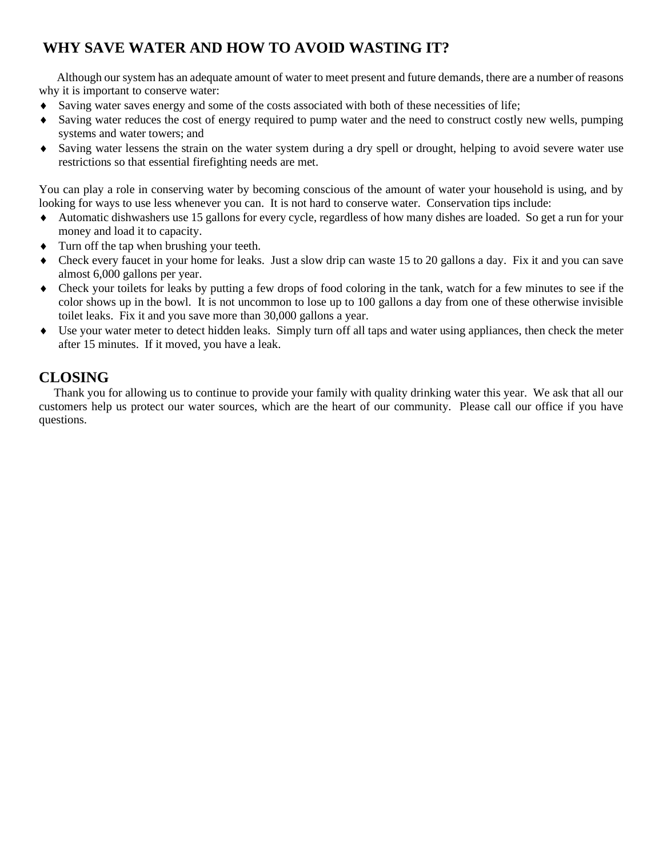# **WHY SAVE WATER AND HOW TO AVOID WASTING IT?**

 Although our system has an adequate amount of water to meet present and future demands, there are a number of reasons why it is important to conserve water:

- Saving water saves energy and some of the costs associated with both of these necessities of life;
- Saving water reduces the cost of energy required to pump water and the need to construct costly new wells, pumping systems and water towers; and
- Saving water lessens the strain on the water system during a dry spell or drought, helping to avoid severe water use restrictions so that essential firefighting needs are met.

You can play a role in conserving water by becoming conscious of the amount of water your household is using, and by looking for ways to use less whenever you can. It is not hard to conserve water. Conservation tips include:

- Automatic dishwashers use 15 gallons for every cycle, regardless of how many dishes are loaded. So get a run for your money and load it to capacity.
- Turn off the tap when brushing your teeth.
- Check every faucet in your home for leaks. Just a slow drip can waste 15 to 20 gallons a day. Fix it and you can save almost 6,000 gallons per year.
- Check your toilets for leaks by putting a few drops of food coloring in the tank, watch for a few minutes to see if the color shows up in the bowl. It is not uncommon to lose up to 100 gallons a day from one of these otherwise invisible toilet leaks. Fix it and you save more than 30,000 gallons a year.
- Use your water meter to detect hidden leaks. Simply turn off all taps and water using appliances, then check the meter after 15 minutes. If it moved, you have a leak.

# **CLOSING**

 Thank you for allowing us to continue to provide your family with quality drinking water this year. We ask that all our customers help us protect our water sources, which are the heart of our community. Please call our office if you have questions.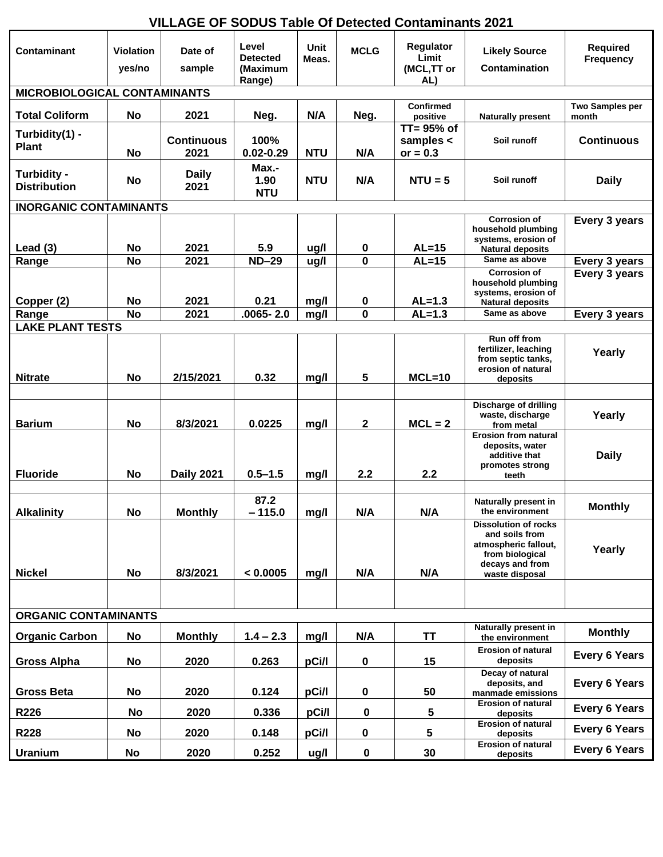| <b>VILLAGE OF SODUS Table Of Detected Contaminants 2021</b> |                            |                           |                                                |                      |              |                                                |                                                                                                                               |                                     |  |
|-------------------------------------------------------------|----------------------------|---------------------------|------------------------------------------------|----------------------|--------------|------------------------------------------------|-------------------------------------------------------------------------------------------------------------------------------|-------------------------------------|--|
| <b>Contaminant</b>                                          | <b>Violation</b><br>yes/no | Date of<br>sample         | Level<br><b>Detected</b><br>(Maximum<br>Range) | <b>Unit</b><br>Meas. | <b>MCLG</b>  | <b>Regulator</b><br>Limit<br>(MCL,TT or<br>AL) | <b>Likely Source</b><br><b>Contamination</b>                                                                                  | <b>Required</b><br><b>Frequency</b> |  |
| <b>MICROBIOLOGICAL CONTAMINANTS</b>                         |                            |                           |                                                |                      |              |                                                |                                                                                                                               |                                     |  |
| <b>Total Coliform</b>                                       | <b>No</b>                  | 2021                      | Neg.                                           | N/A                  | Neg.         | <b>Confirmed</b><br>positive                   | <b>Naturally present</b>                                                                                                      | <b>Two Samples per</b><br>month     |  |
| Turbidity(1) -<br><b>Plant</b>                              | No                         | <b>Continuous</b><br>2021 | 100%<br>$0.02 - 0.29$                          | <b>NTU</b>           | N/A          | TT= 95% of<br>samples <<br>or $= 0.3$          | Soil runoff                                                                                                                   | <b>Continuous</b>                   |  |
| Turbidity -<br><b>Distribution</b>                          | <b>No</b>                  | <b>Daily</b><br>2021      | Max.-<br>1.90<br><b>NTU</b>                    | <b>NTU</b>           | N/A          | $NTU = 5$                                      | Soil runoff                                                                                                                   | <b>Daily</b>                        |  |
| <b>INORGANIC CONTAMINANTS</b>                               |                            |                           |                                                |                      |              |                                                |                                                                                                                               |                                     |  |
| Lead $(3)$                                                  | No                         | 2021                      | 5.9                                            | ug/l                 | 0            | $AL=15$                                        | <b>Corrosion of</b><br>household plumbing<br>systems, erosion of<br><b>Natural deposits</b>                                   | Every 3 years                       |  |
| Range                                                       | <b>No</b>                  | 2021                      | <b>ND-29</b>                                   | ug/l                 | $\mathbf{0}$ | $AL=15$                                        | Same as above                                                                                                                 | Every 3 years                       |  |
| Copper (2)                                                  | No                         | 2021                      | 0.21                                           | mg/l                 | 0            | $AL=1.3$                                       | <b>Corrosion of</b><br>household plumbing<br>systems, erosion of<br><b>Natural deposits</b>                                   | Every 3 years                       |  |
| Range                                                       | <b>No</b>                  | 2021                      | $.0065 - 2.0$                                  | mg/l                 | $\mathbf 0$  | $AL=1.3$                                       | Same as above                                                                                                                 | Every 3 years                       |  |
| <b>LAKE PLANT TESTS</b>                                     |                            |                           |                                                |                      |              |                                                |                                                                                                                               |                                     |  |
| <b>Nitrate</b>                                              | <b>No</b>                  | 2/15/2021                 | 0.32                                           | mg/l                 | 5            | $MCL=10$                                       | <b>Run off from</b><br>fertilizer, leaching<br>from septic tanks,<br>erosion of natural<br>deposits                           | Yearly                              |  |
|                                                             |                            |                           |                                                |                      |              |                                                |                                                                                                                               |                                     |  |
| <b>Barium</b>                                               | <b>No</b>                  | 8/3/2021                  | 0.0225                                         | mg/l                 | $\mathbf 2$  | $MCL = 2$                                      | <b>Discharge of drilling</b><br>waste, discharge<br>from metal                                                                | Yearly                              |  |
| <b>Fluoride</b>                                             | <b>No</b>                  | <b>Daily 2021</b>         | $0.5 - 1.5$                                    | mg/l                 | 2.2          | 2.2                                            | <b>Erosion from natural</b><br>deposits, water<br>additive that<br>promotes strong<br>teeth                                   | <b>Daily</b>                        |  |
| <b>Alkalinity</b>                                           | No                         | <b>Monthly</b>            | 87.2<br>$-115.0$                               | mg/l                 | N/A          | N/A                                            | Naturally present in<br>the environment                                                                                       | <b>Monthly</b>                      |  |
| <b>Nickel</b>                                               | <b>No</b>                  | 8/3/2021                  | < 0.0005                                       | mg/l                 | N/A          | N/A                                            | <b>Dissolution of rocks</b><br>and soils from<br>atmospheric fallout,<br>from biological<br>decays and from<br>waste disposal | Yearly                              |  |
| <b>ORGANIC CONTAMINANTS</b>                                 |                            |                           |                                                |                      |              |                                                |                                                                                                                               |                                     |  |
|                                                             |                            |                           |                                                |                      |              |                                                | Naturally present in                                                                                                          |                                     |  |
| <b>Organic Carbon</b>                                       | No                         | <b>Monthly</b>            | $1.4 - 2.3$                                    | mg/l                 | N/A          | <b>TT</b>                                      | the environment<br><b>Erosion of natural</b>                                                                                  | <b>Monthly</b>                      |  |
| <b>Gross Alpha</b>                                          | No                         | 2020                      | 0.263                                          | pCi/l                | 0            | 15                                             | deposits<br>Decay of natural                                                                                                  | <b>Every 6 Years</b>                |  |
| <b>Gross Beta</b>                                           | <b>No</b>                  | 2020                      | 0.124                                          | pCi/l                | 0            | 50                                             | deposits, and<br>manmade emissions                                                                                            | <b>Every 6 Years</b>                |  |
| R226                                                        | <b>No</b>                  | 2020                      | 0.336                                          | pCi/l                | $\mathbf 0$  | 5                                              | <b>Erosion of natural</b><br>deposits                                                                                         | Every 6 Years                       |  |
| R228                                                        | No                         | 2020                      | 0.148                                          | pCi/l                | 0            | 5                                              | <b>Erosion of natural</b><br>deposits                                                                                         | <b>Every 6 Years</b>                |  |
| <b>Uranium</b>                                              | <b>No</b>                  | 2020                      | 0.252                                          | ug/l                 | $\mathbf 0$  | 30                                             | <b>Erosion of natural</b><br>deposits                                                                                         | <b>Every 6 Years</b>                |  |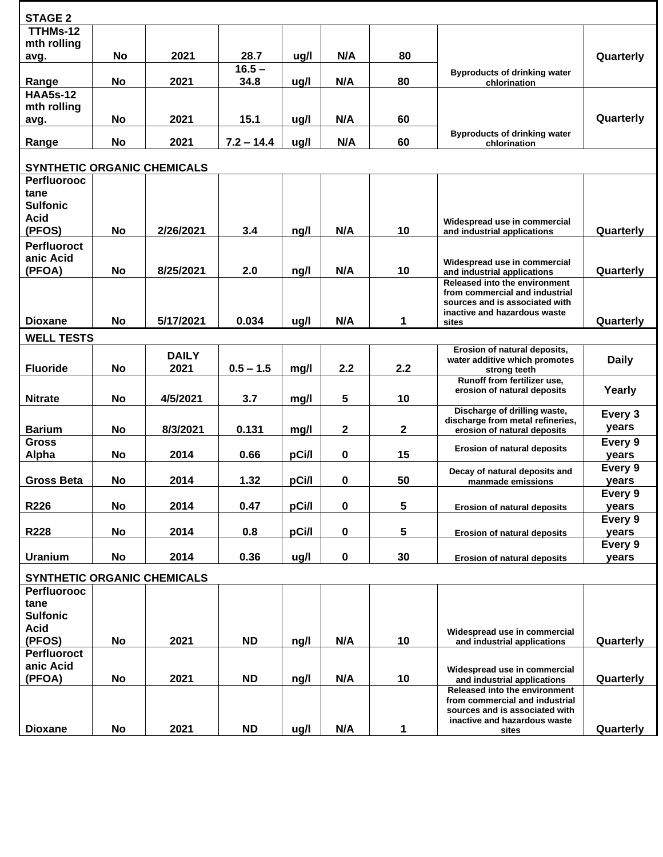| <b>STAGE 2</b>                     |           |              |                  |       |             |              |                                                                 |              |
|------------------------------------|-----------|--------------|------------------|-------|-------------|--------------|-----------------------------------------------------------------|--------------|
| TTHMs-12                           |           |              |                  |       |             |              |                                                                 |              |
| mth rolling                        |           |              |                  |       |             |              |                                                                 |              |
| avg.                               | No        | 2021         | 28.7             | ug/l  | N/A         | 80           |                                                                 | Quarterly    |
| Range                              | No        | 2021         | $16.5 -$<br>34.8 | ug/l  | N/A         | 80           | <b>Byproducts of drinking water</b><br>chlorination             |              |
| $HAASs-12$                         |           |              |                  |       |             |              |                                                                 |              |
| mth rolling                        |           |              |                  |       |             |              |                                                                 |              |
| avg.                               | No        | 2021         | 15.1             | ug/l  | N/A         | 60           |                                                                 | Quarterly    |
| Range                              | No        | 2021         | $7.2 - 14.4$     | ug/l  | N/A         | 60           | <b>Byproducts of drinking water</b><br>chlorination             |              |
|                                    |           |              |                  |       |             |              |                                                                 |              |
| <b>SYNTHETIC ORGANIC CHEMICALS</b> |           |              |                  |       |             |              |                                                                 |              |
| <b>Perfluorooc</b>                 |           |              |                  |       |             |              |                                                                 |              |
| tane                               |           |              |                  |       |             |              |                                                                 |              |
| <b>Sulfonic</b>                    |           |              |                  |       |             |              |                                                                 |              |
| <b>Acid</b><br>(PFOS)              | No        | 2/26/2021    | 3.4              |       | N/A         | 10           | Widespread use in commercial                                    |              |
|                                    |           |              |                  | ng/l  |             |              | and industrial applications                                     | Quarterly    |
| <b>Perfluoroct</b>                 |           |              |                  |       |             |              |                                                                 |              |
| anic Acid                          |           |              |                  |       |             |              | Widespread use in commercial                                    |              |
| (PFOA)                             | No        | 8/25/2021    | 2.0              | ng/l  | N/A         | 10           | and industrial applications<br>Released into the environment    | Quarterly    |
|                                    |           |              |                  |       |             |              | from commercial and industrial                                  |              |
|                                    |           |              |                  |       |             |              | sources and is associated with                                  |              |
| <b>Dioxane</b>                     | No        | 5/17/2021    | 0.034            | ug/l  | N/A         | 1            | inactive and hazardous waste<br>sites                           | Quarterly    |
|                                    |           |              |                  |       |             |              |                                                                 |              |
| <b>WELL TESTS</b>                  |           |              |                  |       |             |              | Erosion of natural deposits,                                    |              |
|                                    |           | <b>DAILY</b> |                  |       |             |              | water additive which promotes                                   | <b>Daily</b> |
| <b>Fluoride</b>                    | No        | 2021         | $0.5 - 1.5$      | mg/l  | 2.2         | 2.2          | strong teeth                                                    |              |
|                                    |           |              |                  |       |             |              | Runoff from fertilizer use,<br>erosion of natural deposits      | Yearly       |
| <b>Nitrate</b>                     | No        | 4/5/2021     | 3.7              | mg/l  | 5           | 10           |                                                                 |              |
|                                    |           |              |                  |       |             |              | Discharge of drilling waste,                                    | Every 3      |
| <b>Barium</b>                      | No        | 8/3/2021     | 0.131            | mg/l  | 2           | $\mathbf{2}$ | discharge from metal refineries,<br>erosion of natural deposits | years        |
| <b>Gross</b>                       |           |              |                  |       |             |              |                                                                 | Every 9      |
| Alpha                              | No        | 2014         | 0.66             | pCi/l | $\mathbf 0$ | 15           | <b>Erosion of natural deposits</b>                              | years        |
|                                    |           |              |                  |       |             |              | Decay of natural deposits and                                   | Every 9      |
| <b>Gross Beta</b>                  | No        | 2014         | 1.32             | pCi/l | $\mathbf 0$ | 50           | manmade emissions                                               | years        |
|                                    |           |              |                  |       |             |              |                                                                 | Every 9      |
| R226                               | No        | 2014         | 0.47             | pCi/l | $\pmb{0}$   | 5            | <b>Erosion of natural deposits</b>                              | years        |
|                                    |           |              |                  |       |             |              |                                                                 | Every 9      |
| R228                               | No        | 2014         | 0.8              | pCi/l | $\pmb{0}$   | 5            | <b>Erosion of natural deposits</b>                              | years        |
|                                    |           |              |                  |       |             |              |                                                                 | Every 9      |
| <b>Uranium</b>                     | <b>No</b> | 2014         | 0.36             | ug/l  | $\pmb{0}$   | 30           | <b>Erosion of natural deposits</b>                              | years        |
| SYNTHETIC ORGANIC CHEMICALS        |           |              |                  |       |             |              |                                                                 |              |
| Perfluorooc                        |           |              |                  |       |             |              |                                                                 |              |
| tane                               |           |              |                  |       |             |              |                                                                 |              |
| <b>Sulfonic</b>                    |           |              |                  |       |             |              |                                                                 |              |
| <b>Acid</b>                        |           |              |                  |       |             |              | Widespread use in commercial                                    |              |
| (PFOS)                             | No        | 2021         | <b>ND</b>        | ng/l  | N/A         | 10           | and industrial applications                                     | Quarterly    |
| <b>Perfluoroct</b>                 |           |              |                  |       |             |              |                                                                 |              |
| anic Acid                          |           |              |                  |       |             |              | Widespread use in commercial                                    |              |
| (PFOA)                             | No        | 2021         | <b>ND</b>        | ng/l  | N/A         | 10           | and industrial applications                                     | Quarterly    |
|                                    |           |              |                  |       |             |              | Released into the environment<br>from commercial and industrial |              |
|                                    |           |              |                  |       |             |              | sources and is associated with                                  |              |
|                                    |           |              |                  |       |             |              | inactive and hazardous waste                                    |              |
| <b>Dioxane</b>                     | No        | 2021         | <b>ND</b>        | ug/l  | N/A         | 1            | sites                                                           | Quarterly    |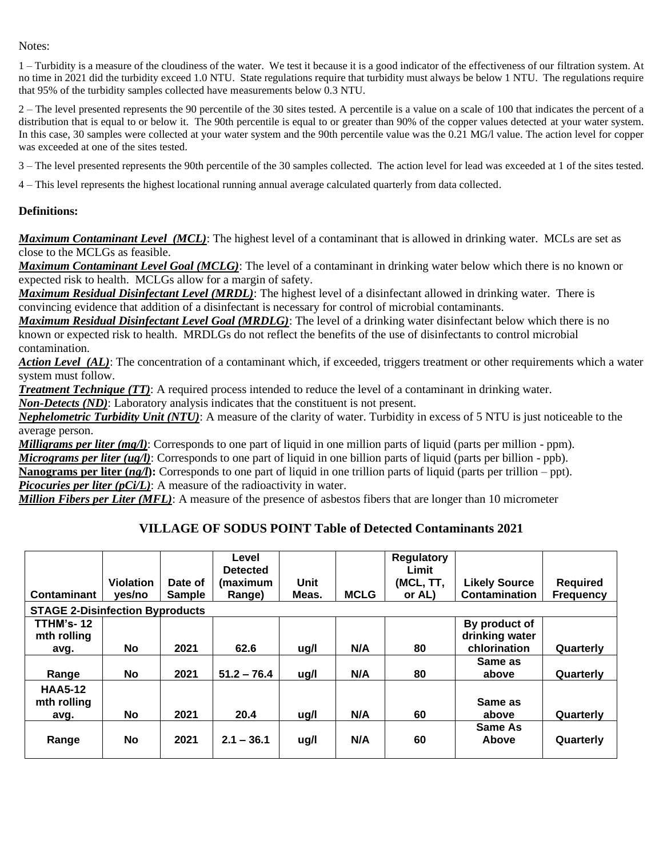#### Notes:

1 – Turbidity is a measure of the cloudiness of the water. We test it because it is a good indicator of the effectiveness of our filtration system. At no time in 2021 did the turbidity exceed 1.0 NTU. State regulations require that turbidity must always be below 1 NTU. The regulations require that 95% of the turbidity samples collected have measurements below 0.3 NTU.

2 – The level presented represents the 90 percentile of the 30 sites tested. A percentile is a value on a scale of 100 that indicates the percent of a distribution that is equal to or below it. The 90th percentile is equal to or greater than 90% of the copper values detected at your water system. In this case, 30 samples were collected at your water system and the 90th percentile value was the 0.21 MG/l value. The action level for copper was exceeded at one of the sites tested.

3 – The level presented represents the 90th percentile of the 30 samples collected. The action level for lead was exceeded at 1 of the sites tested.

4 – This level represents the highest locational running annual average calculated quarterly from data collected.

#### **Definitions:**

*Maximum Contaminant Level (MCL)*: The highest level of a contaminant that is allowed in drinking water. MCLs are set as close to the MCLGs as feasible.

*Maximum Contaminant Level Goal (MCLG)*: The level of a contaminant in drinking water below which there is no known or expected risk to health. MCLGs allow for a margin of safety.

*Maximum Residual Disinfectant Level (MRDL)*: The highest level of a disinfectant allowed in drinking water. There is convincing evidence that addition of a disinfectant is necessary for control of microbial contaminants.

*Maximum Residual Disinfectant Level Goal (MRDLG)*: The level of a drinking water disinfectant below which there is no known or expected risk to health. MRDLGs do not reflect the benefits of the use of disinfectants to control microbial contamination.

*Action Level (AL)*: The concentration of a contaminant which, if exceeded, triggers treatment or other requirements which a water system must follow.

*Treatment Technique (TT)*: A required process intended to reduce the level of a contaminant in drinking water.

*Non-Detects (ND)*: Laboratory analysis indicates that the constituent is not present.

*Nephelometric Turbidity Unit (NTU)*: A measure of the clarity of water. Turbidity in excess of 5 NTU is just noticeable to the average person.

*Milligrams per liter (mg/l)*: Corresponds to one part of liquid in one million parts of liquid (parts per million - ppm). *Micrograms per liter (ug/l)*: Corresponds to one part of liquid in one billion parts of liquid (parts per billion - ppb).

**Nanograms per liter (***ng***/l):** Corresponds to one part of liquid in one trillion parts of liquid (parts per trillion – ppt). *Picocuries per liter (pCi/L)*: A measure of the radioactivity in water.

*Million Fibers per Liter (MFL)*: A measure of the presence of asbestos fibers that are longer than 10 micrometer

#### **VILLAGE OF SODUS POINT Table of Detected Contaminants 2021**

|                                        |                  |               | Level<br><b>Detected</b> |       |             | <b>Regulatory</b><br>Limit |                                 |                  |  |
|----------------------------------------|------------------|---------------|--------------------------|-------|-------------|----------------------------|---------------------------------|------------------|--|
|                                        | <b>Violation</b> | Date of       | (maximum                 | Unit  |             | (MCL, TT,                  | <b>Likely Source</b>            | <b>Required</b>  |  |
| <b>Contaminant</b>                     | ves/no           | <b>Sample</b> | Range)                   | Meas. | <b>MCLG</b> | or AL)                     | <b>Contamination</b>            | <b>Frequency</b> |  |
| <b>STAGE 2-Disinfection Byproducts</b> |                  |               |                          |       |             |                            |                                 |                  |  |
| TTHM's-12<br>mth rolling               |                  |               |                          |       |             |                            | By product of<br>drinking water |                  |  |
| avg.                                   | No.              | 2021          | 62.6                     | ug/l  | N/A         | 80                         | chlorination                    | Quarterly        |  |
|                                        |                  |               |                          |       |             |                            | Same as                         |                  |  |
| Range                                  | No.              | 2021          | $51.2 - 76.4$            | ug/l  | N/A         | 80                         | above                           | Quarterly        |  |
| <b>HAA5-12</b><br>mth rolling          | <b>No</b>        | 2021          | 20.4                     | ug/l  | N/A         | 60                         | Same as<br>above                | Quarterly        |  |
| avg.                                   |                  |               |                          |       |             |                            |                                 |                  |  |
| Range                                  | No.              | 2021          | $2.1 - 36.1$             | ug/l  | N/A         | 60                         | Same As<br>Above                | Quarterly        |  |